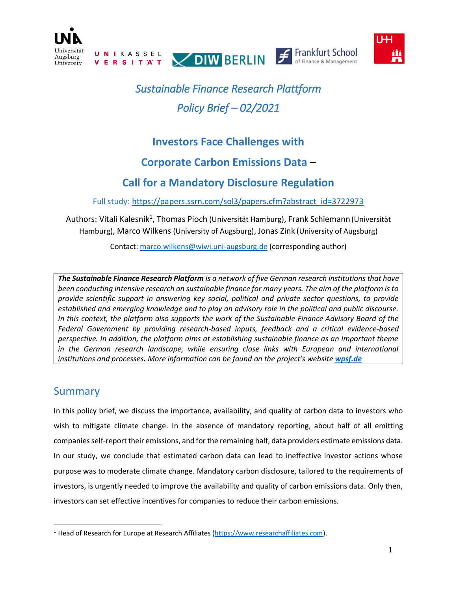

# *Sustainable Finance Research Plattform Policy Brief – 02/2021*

## **Investors Face Challenges with**

### **Corporate Carbon Emissions Data** –

## **Call for a Mandatory Disclosure Regulation**

Full study: [https://papers.ssrn.com/sol3/papers.cfm?abstract\\_id=3722973](https://papers.ssrn.com/sol3/papers.cfm?abstract_id=3722973)

Authors: Vitali Kalesnik<sup>1</sup>, Thomas Pioch (Universität Hamburg), Frank Schiemann (Universität Hamburg), Marco Wilkens (University of Augsburg), Jonas Zink (University of Augsburg)

Contact[: marco.wilkens@wiwi.uni-augsburg.de](mailto:marco.wilkens@wiwi.uni-augsburg.de) (corresponding author)

*The Sustainable Finance Research Platform is a network of five German research institutions that have been conducting intensive research on sustainable finance for many years. The aim of the platform is to provide scientific support in answering key social, political and private sector questions, to provide established and emerging knowledge and to play an advisory role in the political and public discourse. In this context, the platform also supports the work of the Sustainable Finance Advisory Board of the Federal Government by providing research-based inputs, feedback and a critical evidence-based perspective. In addition, the platform aims at establishing sustainable finance as an important theme*  in the German research landscape, while ensuring close links with European and international *institutions and processes. More information can be found on the project's website [wpsf.de](https://wpsf.de/)*

## Summary

 $\overline{a}$ 

In this policy brief, we discuss the importance, availability, and quality of carbon data to investors who wish to mitigate climate change. In the absence of mandatory reporting, about half of all emitting companies self-report their emissions, and for the remaining half, data providers estimate emissions data. In our study, we conclude that estimated carbon data can lead to ineffective investor actions whose purpose was to moderate climate change. Mandatory carbon disclosure, tailored to the requirements of investors, is urgently needed to improve the availability and quality of carbon emissions data. Only then, investors can set effective incentives for companies to reduce their carbon emissions.

<sup>&</sup>lt;sup>1</sup> Head of Research for Europe at Research Affiliates [\(https://www.researchaffiliates.com\)](https://www.researchaffiliates.com/).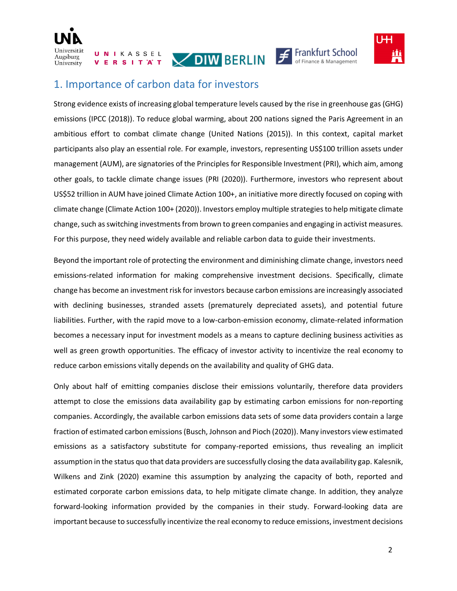







#### 1. Importance of carbon data for investors

Strong evidence exists of increasing global temperature levels caused by the rise in greenhouse gas (GHG) emissions (IPCC (2018)). To reduce global warming, about 200 nations signed the Paris Agreement in an ambitious effort to combat climate change (United Nations (2015)). In this context, capital market participants also play an essential role. For example, investors, representing US\$100 trillion assets under management (AUM), are signatories of the Principles for Responsible Investment (PRI), which aim, among other goals, to tackle climate change issues (PRI (2020)). Furthermore, investors who represent about US\$52 trillion in AUM have joined Climate Action 100+, an initiative more directly focused on coping with climate change (Climate Action 100+ (2020)). Investors employ multiple strategies to help mitigate climate change, such as switching investments from brown to green companies and engaging in activist measures. For this purpose, they need widely available and reliable carbon data to guide their investments.

Beyond the important role of protecting the environment and diminishing climate change, investors need emissions-related information for making comprehensive investment decisions. Specifically, climate change has become an investment risk for investors because carbon emissions are increasingly associated with declining businesses, stranded assets (prematurely depreciated assets), and potential future liabilities. Further, with the rapid move to a low-carbon-emission economy, climate-related information becomes a necessary input for investment models as a means to capture declining business activities as well as green growth opportunities. The efficacy of investor activity to incentivize the real economy to reduce carbon emissions vitally depends on the availability and quality of GHG data.

Only about half of emitting companies disclose their emissions voluntarily, therefore data providers attempt to close the emissions data availability gap by estimating carbon emissions for non-reporting companies. Accordingly, the available carbon emissions data sets of some data providers contain a large fraction of estimated carbon emissions(Busch, Johnson and Pioch (2020)). Many investors view estimated emissions as a satisfactory substitute for company-reported emissions, thus revealing an implicit assumption in the status quo that data providers are successfully closing the data availability gap. Kalesnik, Wilkens and Zink (2020) examine this assumption by analyzing the capacity of both, reported and estimated corporate carbon emissions data, to help mitigate climate change. In addition, they analyze forward-looking information provided by the companies in their study. Forward-looking data are important because to successfully incentivize the real economy to reduce emissions, investment decisions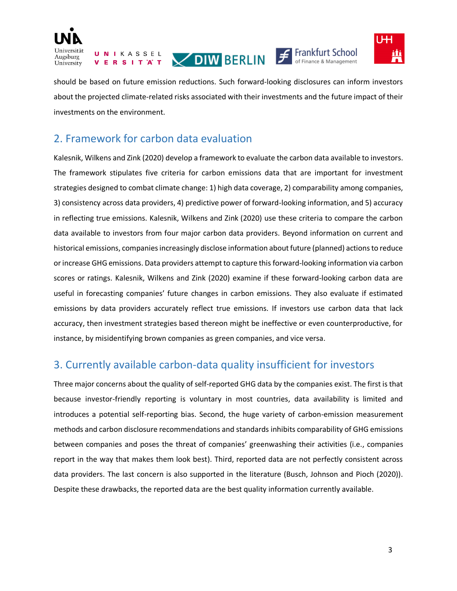

**UNIKASSEL** VERSITAT







should be based on future emission reductions. Such forward-looking disclosures can inform investors about the projected climate-related risks associated with their investments and the future impact of their investments on the environment.

## 2. Framework for carbon data evaluation

Kalesnik, Wilkens and Zink (2020) develop a framework to evaluate the carbon data available to investors. The framework stipulates five criteria for carbon emissions data that are important for investment strategies designed to combat climate change: 1) high data coverage, 2) comparability among companies, 3) consistency across data providers, 4) predictive power of forward-looking information, and 5) accuracy in reflecting true emissions. Kalesnik, Wilkens and Zink (2020) use these criteria to compare the carbon data available to investors from four major carbon data providers. Beyond information on current and historical emissions, companies increasingly disclose information about future (planned) actions to reduce or increase GHG emissions. Data providers attempt to capture this forward-looking information via carbon scores or ratings. Kalesnik, Wilkens and Zink (2020) examine if these forward-looking carbon data are useful in forecasting companies' future changes in carbon emissions. They also evaluate if estimated emissions by data providers accurately reflect true emissions. If investors use carbon data that lack accuracy, then investment strategies based thereon might be ineffective or even counterproductive, for instance, by misidentifying brown companies as green companies, and vice versa.

## 3. Currently available carbon-data quality insufficient for investors

Three major concerns about the quality of self-reported GHG data by the companies exist. The first is that because investor-friendly reporting is voluntary in most countries, data availability is limited and introduces a potential self-reporting bias. Second, the huge variety of carbon-emission measurement methods and carbon disclosure recommendations and standards inhibits comparability of GHG emissions between companies and poses the threat of companies' greenwashing their activities (i.e., companies report in the way that makes them look best). Third, reported data are not perfectly consistent across data providers. The last concern is also supported in the literature (Busch, Johnson and Pioch (2020)). Despite these drawbacks, the reported data are the best quality information currently available.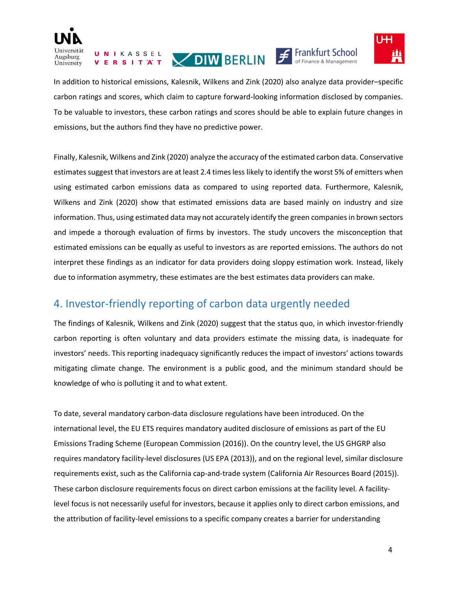

UNIKASSEL VERSITAT VOIWBERLIN F Frankfurt School



In addition to historical emissions, Kalesnik, Wilkens and Zink (2020) also analyze data provider–specific carbon ratings and scores, which claim to capture forward-looking information disclosed by companies. To be valuable to investors, these carbon ratings and scores should be able to explain future changes in emissions, but the authors find they have no predictive power.

Finally, Kalesnik, Wilkens and Zink (2020) analyze the accuracy of the estimated carbon data. Conservative estimates suggest that investors are at least 2.4 times less likely to identify the worst 5% of emitters when using estimated carbon emissions data as compared to using reported data. Furthermore, Kalesnik, Wilkens and Zink (2020) show that estimated emissions data are based mainly on industry and size information. Thus, using estimated data may not accurately identify the green companiesin brown sectors and impede a thorough evaluation of firms by investors. The study uncovers the misconception that estimated emissions can be equally as useful to investors as are reported emissions. The authors do not interpret these findings as an indicator for data providers doing sloppy estimation work. Instead, likely due to information asymmetry, these estimates are the best estimates data providers can make.

## 4. Investor-friendly reporting of carbon data urgently needed

The findings of Kalesnik, Wilkens and Zink (2020) suggest that the status quo, in which investor-friendly carbon reporting is often voluntary and data providers estimate the missing data, is inadequate for investors' needs. This reporting inadequacy significantly reduces the impact of investors' actions towards mitigating climate change. The environment is a public good, and the minimum standard should be knowledge of who is polluting it and to what extent.

To date, several mandatory carbon-data disclosure regulations have been introduced. On the international level, the EU ETS requires mandatory audited disclosure of emissions as part of the EU Emissions Trading Scheme (European Commission (2016)). On the country level, the US GHGRP also requires mandatory facility-level disclosures (US EPA (2013)), and on the regional level, similar disclosure requirements exist, such as the California cap-and-trade system (California Air Resources Board (2015)). These carbon disclosure requirements focus on direct carbon emissions at the facility level. A facilitylevel focus is not necessarily useful for investors, because it applies only to direct carbon emissions, and the attribution of facility-level emissions to a specific company creates a barrier for understanding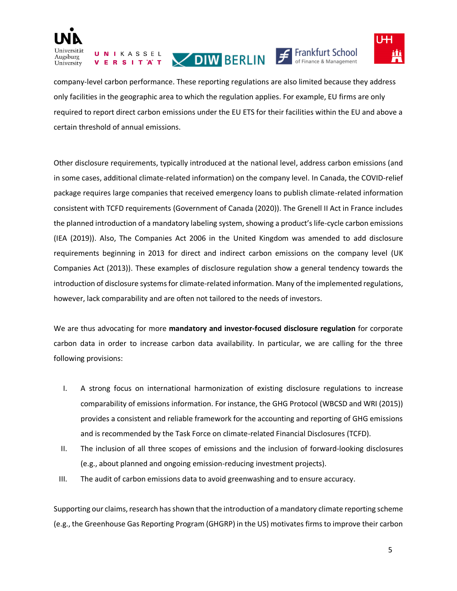

UNIKASSEL **VERSITAT** 







company-level carbon performance. These reporting regulations are also limited because they address only facilities in the geographic area to which the regulation applies. For example, EU firms are only required to report direct carbon emissions under the EU ETS for their facilities within the EU and above a certain threshold of annual emissions.

Other disclosure requirements, typically introduced at the national level, address carbon emissions (and in some cases, additional climate-related information) on the company level. In Canada, the COVID-relief package requires large companies that received emergency loans to publish climate-related information consistent with TCFD requirements (Government of Canada (2020)). The Grenell II Act in France includes the planned introduction of a mandatory labeling system, showing a product's life-cycle carbon emissions (IEA (2019)). Also, The Companies Act 2006 in the United Kingdom was amended to add disclosure requirements beginning in 2013 for direct and indirect carbon emissions on the company level (UK Companies Act (2013)). These examples of disclosure regulation show a general tendency towards the introduction of disclosure systems for climate-related information. Many of the implemented regulations, however, lack comparability and are often not tailored to the needs of investors.

We are thus advocating for more **mandatory and investor-focused disclosure regulation** for corporate carbon data in order to increase carbon data availability. In particular, we are calling for the three following provisions:

- I. A strong focus on international harmonization of existing disclosure regulations to increase comparability of emissions information. For instance, the GHG Protocol (WBCSD and WRI (2015)) provides a consistent and reliable framework for the accounting and reporting of GHG emissions and is recommended by the Task Force on climate-related Financial Disclosures (TCFD).
- II. The inclusion of all three scopes of emissions and the inclusion of forward-looking disclosures (e.g., about planned and ongoing emission-reducing investment projects).
- III. The audit of carbon emissions data to avoid greenwashing and to ensure accuracy.

Supporting our claims, research has shown that the introduction of a mandatory climate reporting scheme (e.g., the Greenhouse Gas Reporting Program (GHGRP) in the US) motivates firms to improve their carbon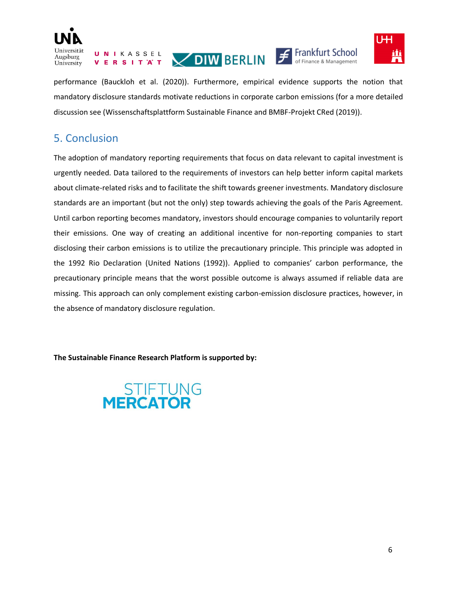

UNIKASSEL







performance (Bauckloh et al. (2020)). Furthermore, empirical evidence supports the notion that mandatory disclosure standards motivate reductions in corporate carbon emissions (for a more detailed discussion see (Wissenschaftsplattform Sustainable Finance and BMBF-Projekt CRed (2019)).

## 5. Conclusion

The adoption of mandatory reporting requirements that focus on data relevant to capital investment is urgently needed. Data tailored to the requirements of investors can help better inform capital markets about climate-related risks and to facilitate the shift towards greener investments. Mandatory disclosure standards are an important (but not the only) step towards achieving the goals of the Paris Agreement. Until carbon reporting becomes mandatory, investors should encourage companies to voluntarily report their emissions. One way of creating an additional incentive for non-reporting companies to start disclosing their carbon emissions is to utilize the precautionary principle. This principle was adopted in the 1992 Rio Declaration (United Nations (1992)). Applied to companies' carbon performance, the precautionary principle means that the worst possible outcome is always assumed if reliable data are missing. This approach can only complement existing carbon-emission disclosure practices, however, in the absence of mandatory disclosure regulation.

**The Sustainable Finance Research Platform is supported by:**

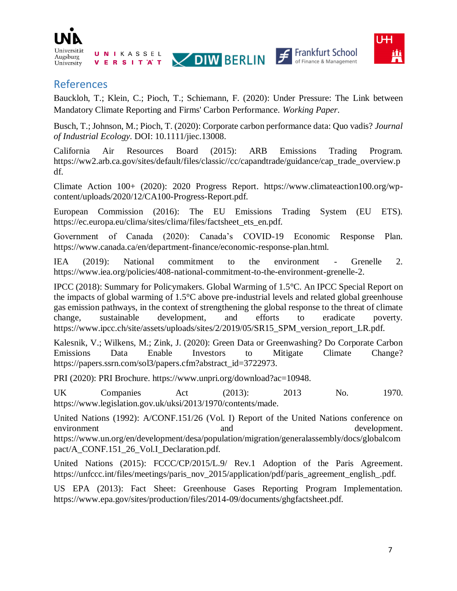

**UNIKASSEL** VERSITAT







#### References

Bauckloh, T.; Klein, C.; Pioch, T.; Schiemann, F. (2020): Under Pressure: The Link between Mandatory Climate Reporting and Firms' Carbon Performance. *Working Paper*.

Busch, T.; Johnson, M.; Pioch, T. (2020): Corporate carbon performance data: Quo vadis? *Journal of Industrial Ecology*. DOI: 10.1111/jiec.13008.

California Air Resources Board (2015): ARB Emissions Trading Program. https://ww2.arb.ca.gov/sites/default/files/classic//cc/capandtrade/guidance/cap\_trade\_overview.p df.

Climate Action 100+ (2020): 2020 Progress Report. https://www.climateaction100.org/wpcontent/uploads/2020/12/CA100-Progress-Report.pdf.

European Commission (2016): The EU Emissions Trading System (EU ETS). https://ec.europa.eu/clima/sites/clima/files/factsheet\_ets\_en.pdf.

Government of Canada (2020): Canada's COVID-19 Economic Response Plan. https://www.canada.ca/en/department-finance/economic-response-plan.html.

IEA (2019): National commitment to the environment - Grenelle 2. https://www.iea.org/policies/408-national-commitment-to-the-environment-grenelle-2.

IPCC (2018): Summary for Policymakers. Global Warming of 1.5°C. An IPCC Special Report on the impacts of global warming of 1.5°C above pre-industrial levels and related global greenhouse gas emission pathways, in the context of strengthening the global response to the threat of climate change, sustainable development, and efforts to eradicate poverty. https://www.ipcc.ch/site/assets/uploads/sites/2/2019/05/SR15\_SPM\_version\_report\_LR.pdf.

Kalesnik, V.; Wilkens, M.; Zink, J. (2020): Green Data or Greenwashing? Do Corporate Carbon Emissions Data Enable Investors to Mitigate Climate Change? https://papers.ssrn.com/sol3/papers.cfm?abstract\_id=3722973.

PRI (2020): PRI Brochure. https://www.unpri.org/download?ac=10948.

UK Companies Act (2013): 2013 No. 1970. https://www.legislation.gov.uk/uksi/2013/1970/contents/made.

United Nations (1992): A/CONF.151/26 (Vol. I) Report of the United Nations conference on environment and development. https://www.un.org/en/development/desa/population/migration/generalassembly/docs/globalcom pact/A\_CONF.151\_26\_Vol.I\_Declaration.pdf.

United Nations (2015): FCCC/CP/2015/L.9/ Rev.1 Adoption of the Paris Agreement. https://unfccc.int/files/meetings/paris\_nov\_2015/application/pdf/paris\_agreement\_english\_.pdf.

US EPA (2013): Fact Sheet: Greenhouse Gases Reporting Program Implementation. https://www.epa.gov/sites/production/files/2014-09/documents/ghgfactsheet.pdf.